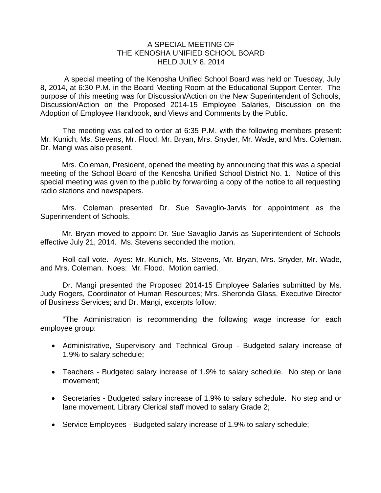## A SPECIAL MEETING OF THE KENOSHA UNIFIED SCHOOL BOARD HELD JULY 8, 2014

 A special meeting of the Kenosha Unified School Board was held on Tuesday, July 8, 2014, at 6:30 P.M. in the Board Meeting Room at the Educational Support Center. The purpose of this meeting was for Discussion/Action on the New Superintendent of Schools, Discussion/Action on the Proposed 2014-15 Employee Salaries, Discussion on the Adoption of Employee Handbook, and Views and Comments by the Public.

The meeting was called to order at 6:35 P.M. with the following members present: Mr. Kunich, Ms. Stevens, Mr. Flood, Mr. Bryan, Mrs. Snyder, Mr. Wade, and Mrs. Coleman. Dr. Mangi was also present.

Mrs. Coleman, President, opened the meeting by announcing that this was a special meeting of the School Board of the Kenosha Unified School District No. 1. Notice of this special meeting was given to the public by forwarding a copy of the notice to all requesting radio stations and newspapers.

Mrs. Coleman presented Dr. Sue Savaglio-Jarvis for appointment as the Superintendent of Schools.

Mr. Bryan moved to appoint Dr. Sue Savaglio-Jarvis as Superintendent of Schools effective July 21, 2014. Ms. Stevens seconded the motion.

Roll call vote. Ayes: Mr. Kunich, Ms. Stevens, Mr. Bryan, Mrs. Snyder, Mr. Wade, and Mrs. Coleman. Noes: Mr. Flood. Motion carried.

 Dr. Mangi presented the Proposed 2014-15 Employee Salaries submitted by Ms. Judy Rogers, Coordinator of Human Resources; Mrs. Sheronda Glass, Executive Director of Business Services; and Dr. Mangi, excerpts follow:

 "The Administration is recommending the following wage increase for each employee group:

- Administrative, Supervisory and Technical Group Budgeted salary increase of 1.9% to salary schedule;
- Teachers Budgeted salary increase of 1.9% to salary schedule. No step or lane movement;
- Secretaries Budgeted salary increase of 1.9% to salary schedule. No step and or lane movement. Library Clerical staff moved to salary Grade 2;
- Service Employees Budgeted salary increase of 1.9% to salary schedule;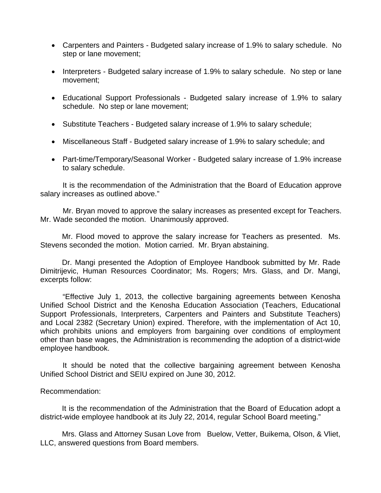- Carpenters and Painters Budgeted salary increase of 1.9% to salary schedule. No step or lane movement;
- Interpreters Budgeted salary increase of 1.9% to salary schedule. No step or lane movement;
- Educational Support Professionals Budgeted salary increase of 1.9% to salary schedule. No step or lane movement;
- Substitute Teachers Budgeted salary increase of 1.9% to salary schedule;
- Miscellaneous Staff Budgeted salary increase of 1.9% to salary schedule; and
- Part-time/Temporary/Seasonal Worker Budgeted salary increase of 1.9% increase to salary schedule.

 It is the recommendation of the Administration that the Board of Education approve salary increases as outlined above."

 Mr. Bryan moved to approve the salary increases as presented except for Teachers. Mr. Wade seconded the motion. Unanimously approved.

Mr. Flood moved to approve the salary increase for Teachers as presented. Ms. Stevens seconded the motion. Motion carried. Mr. Bryan abstaining.

Dr. Mangi presented the Adoption of Employee Handbook submitted by Mr. Rade Dimitrijevic, Human Resources Coordinator; Ms. Rogers; Mrs. Glass, and Dr. Mangi, excerpts follow:

"Effective July 1, 2013, the collective bargaining agreements between Kenosha Unified School District and the Kenosha Education Association (Teachers, Educational Support Professionals, Interpreters, Carpenters and Painters and Substitute Teachers) and Local 2382 (Secretary Union) expired. Therefore, with the implementation of Act 10, which prohibits unions and employers from bargaining over conditions of employment other than base wages, the Administration is recommending the adoption of a district-wide employee handbook.

It should be noted that the collective bargaining agreement between Kenosha Unified School District and SEIU expired on June 30, 2012.

## Recommendation:

It is the recommendation of the Administration that the Board of Education adopt a district-wide employee handbook at its July 22, 2014, regular School Board meeting."

Mrs. Glass and Attorney Susan Love from Buelow, Vetter, Buikema, Olson, & Vliet, LLC, answered questions from Board members.